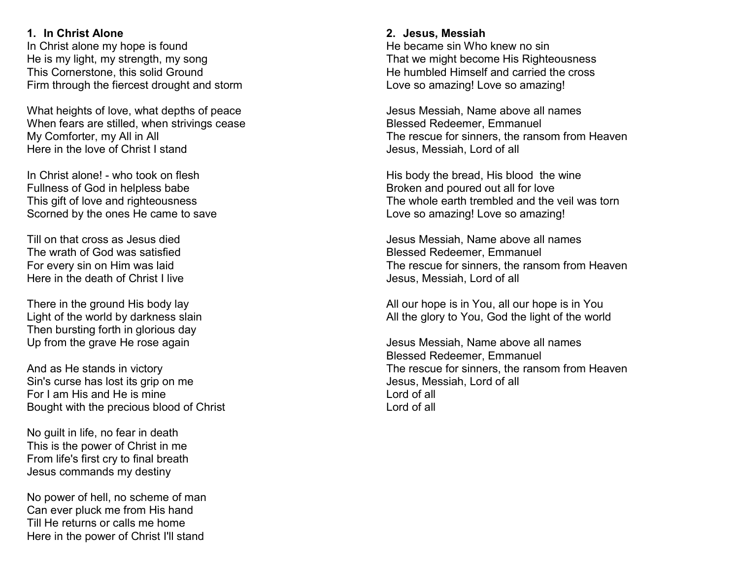## 1. In Christ Alone

In Christ alone my hope is found He is my light, my strength, my song This Cornerstone, this solid Ground Firm through the fiercest drought and storm

What heights of love, what depths of peace When fears are stilled, when strivings cease My Comforter, my All in All Here in the love of Christ I stand

In Christ alone! - who took on flesh Fullness of God in helpless babe This gift of love and righteousness Scorned by the ones He came to save

Till on that cross as Jesus died The wrath of God was satisfied For every sin on Him was laid Here in the death of Christ I live

There in the ground His body lay Light of the world by darkness slain Then bursting forth in glorious day Up from the grave He rose again

And as He stands in victory Sin's curse has lost its grip on me For I am His and He is mine Bought with the precious blood of Christ

No guilt in life, no fear in death This is the power of Christ in me From life's first cry to final breath Jesus commands my destiny

No power of hell, no scheme of man Can ever pluck me from His hand Till He returns or calls me home Here in the power of Christ I'll stand

## 2. Jesus, Messiah

He became sin Who knew no sin That we might become His Righteousness He humbled Himself and carried the cross Love so amazing! Love so amazing!

Jesus Messiah, Name above all names Blessed Redeemer, Emmanuel The rescue for sinners, the ransom from Heaven Jesus, Messiah, Lord of all

His body the bread, His blood the wine Broken and poured out all for love The whole earth trembled and the veil was torn Love so amazing! Love so amazing!

Jesus Messiah, Name above all names Blessed Redeemer, Emmanuel The rescue for sinners, the ransom from Heaven Jesus, Messiah, Lord of all

All our hope is in You, all our hope is in You All the glory to You, God the light of the world

Jesus Messiah, Name above all names Blessed Redeemer, Emmanuel The rescue for sinners, the ransom from Heaven Jesus, Messiah, Lord of all Lord of all Lord of all